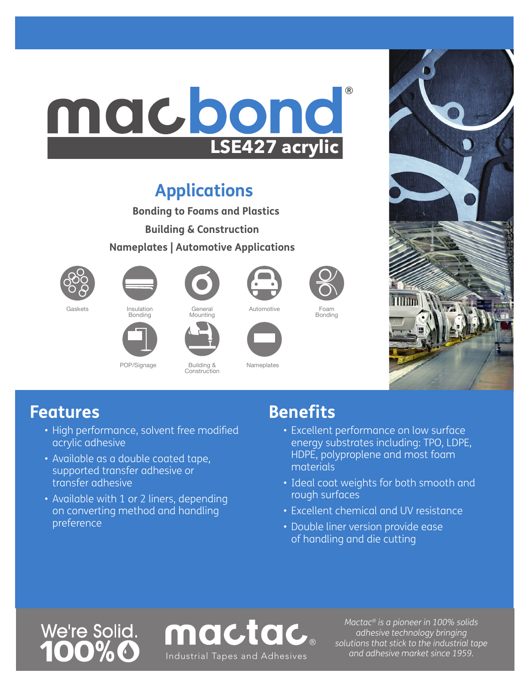# ® macbond **LSE427 acrylic**

# **Applications**

**Bonding to Foams and Plastics Building & Construction**

**Nameplates | Automotive Applications**





POP/Signage Building &

Bonding



General Mounting

Construction



Nameplates

mactac



Automotive Foam Bonding



### **Features**

- High performance, solvent free modified acrylic adhesive
- Available as a double coated tape, supported transfer adhesive or transfer adhesive
- Available with 1 or 2 liners, depending on converting method and handling preference

## **Benefits**

- Excellent performance on low surface energy substrates including: TPO, LDPE, HDPE, polyproplene and most foam materials
- Ideal coat weights for both smooth and rough surfaces
- Excellent chemical and UV resistance
- Double liner version provide ease of handling and die cutting

# We're Solid.

*Mactac® is a pioneer in 100% solids adhesive technology bringing solutions that stick to the industrial tape and adhesive market since 1959.* Industrial Tapes and Adhesives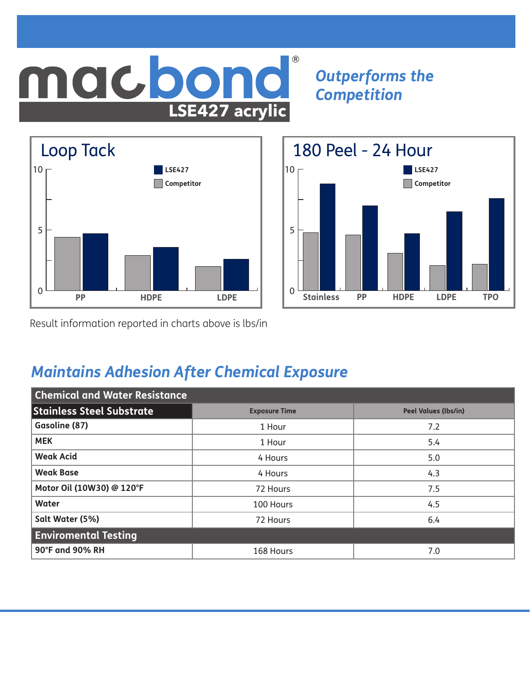### <u>nacbol</u> ®nd **LSE427 acrylic**

*Outperforms the Competition*





Result information reported in charts above is lbs/in

### *Maintains Adhesion After Chemical Exposure*

| <b>Chemical and Water Resistance</b> |                      |                             |  |  |  |  |
|--------------------------------------|----------------------|-----------------------------|--|--|--|--|
| <b>Stainless Steel Substrate</b>     | <b>Exposure Time</b> | <b>Peel Values (lbs/in)</b> |  |  |  |  |
| Gasoline (87)                        | 1 Hour               | 7.2                         |  |  |  |  |
| <b>MEK</b>                           | 1 Hour               | 5.4                         |  |  |  |  |
| <b>Weak Acid</b>                     | 4 Hours              | 5.0                         |  |  |  |  |
| <b>Weak Base</b>                     | 4 Hours              | 4.3                         |  |  |  |  |
| Motor Oil (10W30) @ 120°F            | 72 Hours             | 7.5                         |  |  |  |  |
| Water                                | 100 Hours            | 4.5                         |  |  |  |  |
| Salt Water (5%)                      | 72 Hours             | 6.4                         |  |  |  |  |
| <b>Enviromental Testing</b>          |                      |                             |  |  |  |  |
| 90°F and 90% RH                      | 168 Hours            | 7.0                         |  |  |  |  |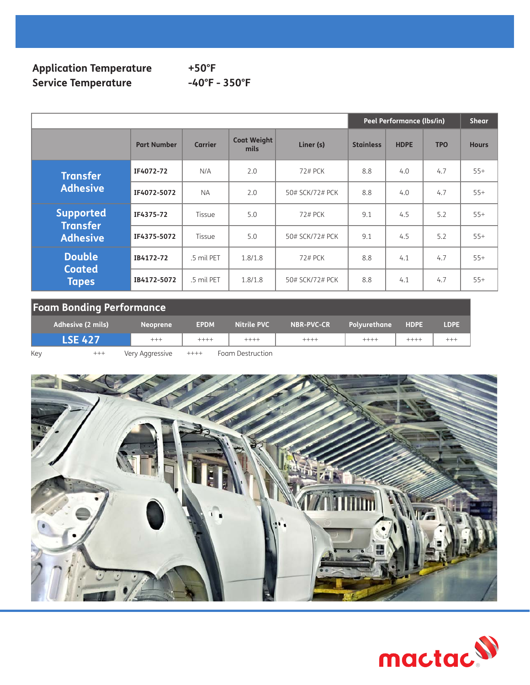#### **Application Temperature +50°F** Service Temperature **-40°F** - 350°F

|                                    |                    |                |                            |                 | Peel Performance (lbs/in) |             |            | <b>Shear</b> |
|------------------------------------|--------------------|----------------|----------------------------|-----------------|---------------------------|-------------|------------|--------------|
|                                    | <b>Part Number</b> | <b>Carrier</b> | <b>Coat Weight</b><br>mils | Liner (s)       | <b>Stainless</b>          | <b>HDPE</b> | <b>TPO</b> | <b>Hours</b> |
| <b>Transfer</b>                    | IF4072-72          | N/A            | 2.0                        | 72# PCK         | 8.8                       | 4.0         | 4.7        | $55+$        |
| <b>Adhesive</b>                    | IF4072-5072        | <b>NA</b>      | 2.0                        | 50# SCK/72# PCK | 8.8                       | 4.0         | 4.7        | $55+$        |
| <b>Supported</b>                   | IF4375-72          | Tissue         | 5.0                        | 72# PCK         | 9.1                       | 4.5         | 5.2        | $55+$        |
| <b>Transfer</b><br><b>Adhesive</b> | IF4375-5072        | Tissue         | 5.0                        | 50# SCK/72# PCK | 9.1                       | 4.5         | 5.2        | $55+$        |
| <b>Double</b>                      | IB4172-72          | .5 mil PET     | 1.8/1.8                    | 72# PCK         | 8.8                       | 4.1         | 4.7        | $55+$        |
| <b>Coated</b><br><b>Tapes</b>      | IB4172-5072        | .5 mil PET     | 1.8/1.8                    | 50# SCK/72# PCK | 8.8                       | 4.1         | 4.7        | $55+$        |

### **Foam Bonding Performance**

|     | Adhesive (2 mils)          | <b>Neoprene</b> | <b>EPDM</b> | Nitrile PVC      | <b>NBR-PVC-CR</b> | Polvurethane | <b>HDPE</b> | <b>LDPE</b> |
|-----|----------------------------|-----------------|-------------|------------------|-------------------|--------------|-------------|-------------|
|     | <b>LSE 427</b><br>$^{+++}$ |                 | $++++-$     | $+++++$          | $++++$            | $+++++$      |             |             |
| Key | $^{+++}$                   | Very Aggressive | $++++-$     | Foam Destruction |                   |              |             |             |